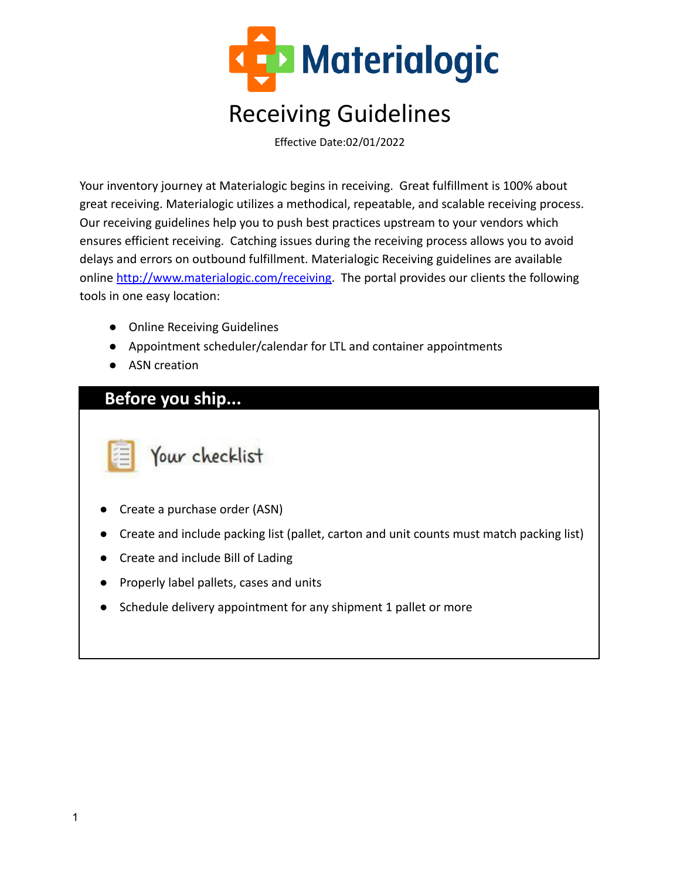

Effective Date:02/01/2022

Your inventory journey at Materialogic begins in receiving. Great fulfillment is 100% about great receiving. Materialogic utilizes a methodical, repeatable, and scalable receiving process. Our receiving guidelines help you to push best practices upstream to your vendors which ensures efficient receiving. Catching issues during the receiving process allows you to avoid delays and errors on outbound fulfillment. Materialogic Receiving guidelines are available online [http://www.materialogic.com/receiving.](http://www.materialogic.com/receiving) The portal provides our clients the following tools in one easy location:

- Online Receiving Guidelines
- Appointment scheduler/calendar for LTL and container appointments
- ASN creation

### **Before you ship...**

Your checklist

- Create a purchase order (ASN)
- Create and include packing list (pallet, carton and unit counts must match packing list)
- **Create and include Bill of Lading**
- Properly label pallets, cases and units
- Schedule delivery appointment for any shipment 1 pallet or more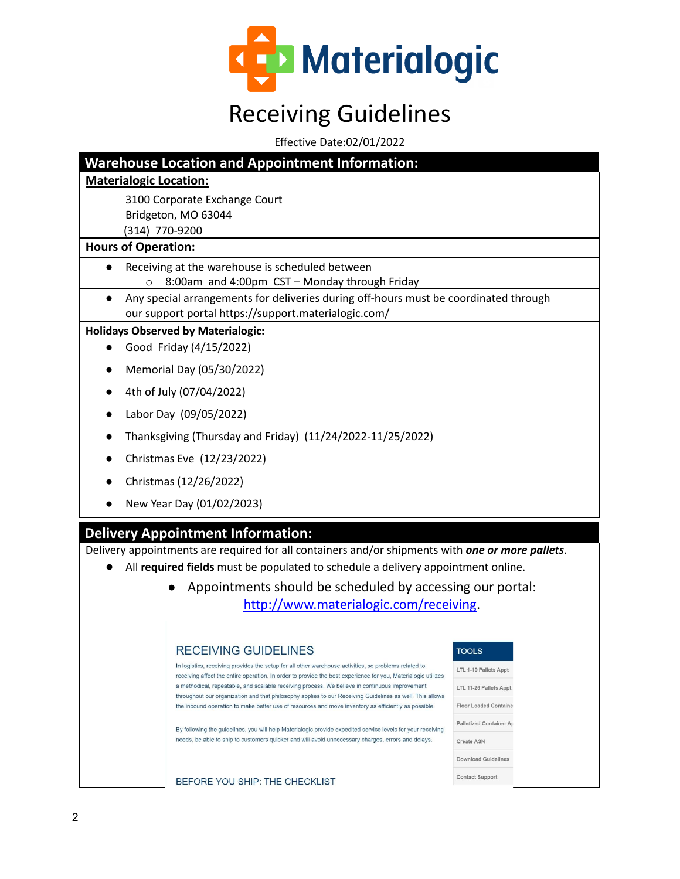

Effective Date:02/01/2022

|                               | <b>Warehouse Location and Appointment Information:</b>                                                                                                                                                           |                                |  |  |  |  |  |  |  |  |
|-------------------------------|------------------------------------------------------------------------------------------------------------------------------------------------------------------------------------------------------------------|--------------------------------|--|--|--|--|--|--|--|--|
| <b>Materialogic Location:</b> |                                                                                                                                                                                                                  |                                |  |  |  |  |  |  |  |  |
|                               | 3100 Corporate Exchange Court                                                                                                                                                                                    |                                |  |  |  |  |  |  |  |  |
|                               | Bridgeton, MO 63044                                                                                                                                                                                              |                                |  |  |  |  |  |  |  |  |
| (314) 770-9200                |                                                                                                                                                                                                                  |                                |  |  |  |  |  |  |  |  |
| <b>Hours of Operation:</b>    |                                                                                                                                                                                                                  |                                |  |  |  |  |  |  |  |  |
| $\bullet$                     | Receiving at the warehouse is scheduled between                                                                                                                                                                  |                                |  |  |  |  |  |  |  |  |
| $\circ$                       | 8:00am and 4:00pm CST - Monday through Friday                                                                                                                                                                    |                                |  |  |  |  |  |  |  |  |
| $\bullet$                     | Any special arrangements for deliveries during off-hours must be coordinated through                                                                                                                             |                                |  |  |  |  |  |  |  |  |
|                               | our support portal https://support.materialogic.com/                                                                                                                                                             |                                |  |  |  |  |  |  |  |  |
|                               | <b>Holidays Observed by Materialogic:</b>                                                                                                                                                                        |                                |  |  |  |  |  |  |  |  |
|                               | Good Friday (4/15/2022)                                                                                                                                                                                          |                                |  |  |  |  |  |  |  |  |
|                               | Memorial Day (05/30/2022)                                                                                                                                                                                        |                                |  |  |  |  |  |  |  |  |
| $\bullet$                     | 4th of July (07/04/2022)                                                                                                                                                                                         |                                |  |  |  |  |  |  |  |  |
|                               | Labor Day (09/05/2022)                                                                                                                                                                                           |                                |  |  |  |  |  |  |  |  |
|                               | Thanksgiving (Thursday and Friday) (11/24/2022-11/25/2022)                                                                                                                                                       |                                |  |  |  |  |  |  |  |  |
|                               | Christmas Eve (12/23/2022)                                                                                                                                                                                       |                                |  |  |  |  |  |  |  |  |
|                               | Christmas (12/26/2022)                                                                                                                                                                                           |                                |  |  |  |  |  |  |  |  |
|                               | New Year Day (01/02/2023)                                                                                                                                                                                        |                                |  |  |  |  |  |  |  |  |
|                               |                                                                                                                                                                                                                  |                                |  |  |  |  |  |  |  |  |
|                               | <b>Delivery Appointment Information:</b>                                                                                                                                                                         |                                |  |  |  |  |  |  |  |  |
|                               | Delivery appointments are required for all containers and/or shipments with one or more pallets.                                                                                                                 |                                |  |  |  |  |  |  |  |  |
|                               | All required fields must be populated to schedule a delivery appointment online.                                                                                                                                 |                                |  |  |  |  |  |  |  |  |
|                               | Appointments should be scheduled by accessing our portal:                                                                                                                                                        |                                |  |  |  |  |  |  |  |  |
|                               | http://www.materialogic.com/receiving.                                                                                                                                                                           |                                |  |  |  |  |  |  |  |  |
|                               |                                                                                                                                                                                                                  |                                |  |  |  |  |  |  |  |  |
|                               | <b>RECEIVING GUIDELINES</b>                                                                                                                                                                                      | <b>TOOLS</b>                   |  |  |  |  |  |  |  |  |
|                               | In logistics, receiving provides the setup for all other warehouse activities, so problems related to                                                                                                            | LTL 1-10 Pallets Appt          |  |  |  |  |  |  |  |  |
|                               | receiving affect the entire operation. In order to provide the best experience for you, Materialogic utilizes<br>a methodical, repeatable, and scalable receiving process. We believe in continuous improvement  | LTL 11-26 Pallets Appt         |  |  |  |  |  |  |  |  |
|                               | throughout our organization and that philosophy applies to our Receiving Guidelines as well. This allows<br>the inbound operation to make better use of resources and move inventory as efficiently as possible. | <b>Floor Loaded Containe</b>   |  |  |  |  |  |  |  |  |
|                               | By following the guidelines, you will help Materialogic provide expedited service levels for your receiving                                                                                                      | <b>Palletized Container Ap</b> |  |  |  |  |  |  |  |  |
|                               | needs, be able to ship to customers quicker and will avoid unnecessary charges, errors and delays.                                                                                                               | <b>Create ASN</b>              |  |  |  |  |  |  |  |  |
|                               |                                                                                                                                                                                                                  | <b>Download Guidelines</b>     |  |  |  |  |  |  |  |  |
|                               | BEFORE YOU SHIP: THE CHECKLIST                                                                                                                                                                                   | Contact Support                |  |  |  |  |  |  |  |  |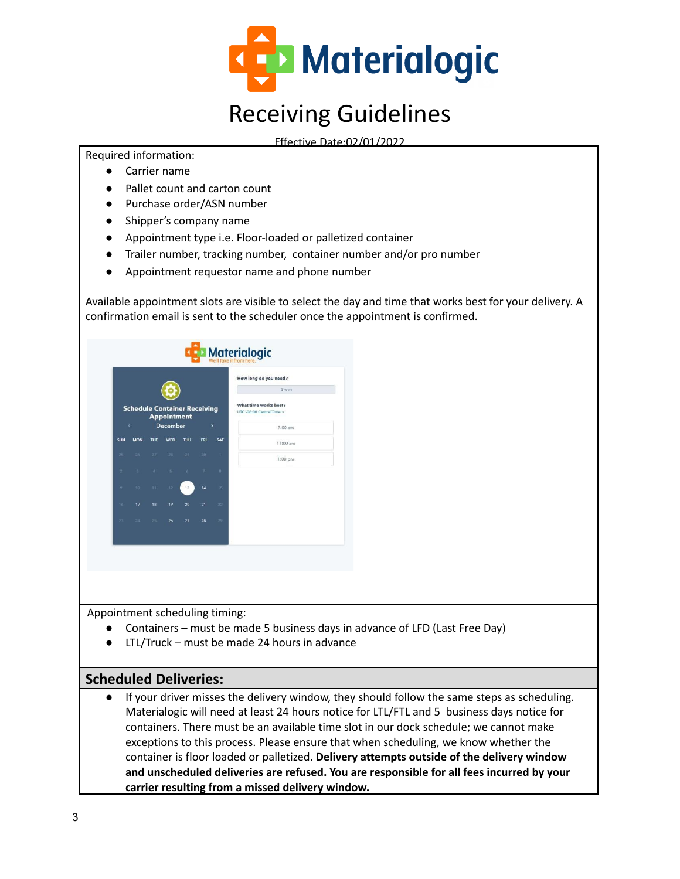

Effective Date:02/01/2022

Required information:

- Carrier name
- Pallet count and carton count
- Purchase order/ASN number
- Shipper's company name
- Appointment type i.e. Floor-loaded or palletized container
- Trailer number, tracking number, container number and/or pro number
- Appointment requestor name and phone number

Available appointment slots are visible to select the day and time that works best for your delivery. A confirmation email is sent to the scheduler once the appointment is confirmed.

|                |                                     |           |                    |      |               |                 | How long do you need?                             |
|----------------|-------------------------------------|-----------|--------------------|------|---------------|-----------------|---------------------------------------------------|
|                |                                     |           |                    |      |               |                 | 2 hours                                           |
|                | <b>Schedule Container Receiving</b> |           | <b>Appointment</b> |      |               |                 | What time works best?<br>UTC-06:00 Central Time - |
|                | k.                                  |           | December           |      |               | ×               | 9:00 am                                           |
| <b>SUN</b>     | <b>MON</b>                          | TUE       | <b>WED</b>         | THU  | <b>FRI</b>    | <b>SAT</b>      | $11:00$ am                                        |
| 25             |                                     | $26 - 27$ | 28 29              |      | $30 -$        | х.              | $1:00 \text{ pm}$                                 |
| $\overline{2}$ | п.                                  | $\sim$    | $-5$               | $-6$ | $\mathcal{T}$ | $8-$            |                                                   |
| $\sigma$       | $10 -$                              | $11 -$    | 12 <sup>7</sup>    | 13   | 14            | 15 <sub>1</sub> |                                                   |
| $16^{1}$       | 17.                                 | 18        | 19                 | 20   | 21            | $22 -$          |                                                   |
| $23 -$         | 24                                  | $25 - 1$  | 26                 | 27   | 28            | 29 <sub>1</sub> |                                                   |

Appointment scheduling timing:

- Containers must be made 5 business days in advance of LFD (Last Free Day)
- LTL/Truck must be made 24 hours in advance

#### **Scheduled Deliveries:**

If your driver misses the delivery window, they should follow the same steps as scheduling. Materialogic will need at least 24 hours notice for LTL/FTL and 5 business days notice for containers. There must be an available time slot in our dock schedule; we cannot make exceptions to this process. Please ensure that when scheduling, we know whether the container is floor loaded or palletized. **Delivery attempts outside of the delivery window and unscheduled deliveries are refused. You are responsible for all fees incurred by your carrier resulting from a missed delivery window.**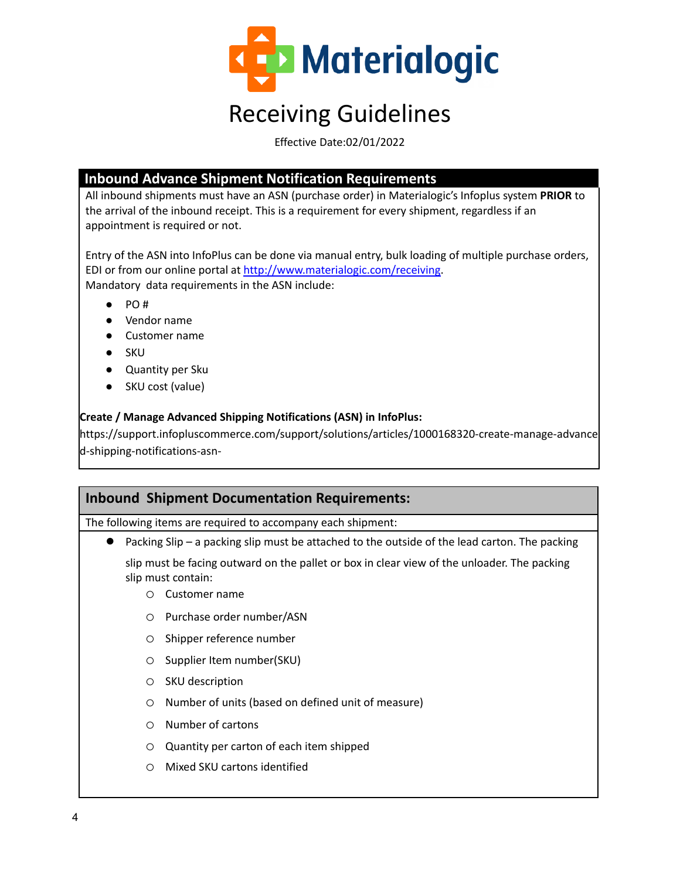

Effective Date:02/01/2022

#### **Inbound Advance Shipment Notification Requirements**

All inbound shipments must have an ASN (purchase order) in Materialogic's Infoplus system **PRIOR** to the arrival of the inbound receipt. This is a requirement for every shipment, regardless if an appointment is required or not.

Entry of the ASN into InfoPlus can be done via manual entry, bulk loading of multiple purchase orders, EDI or from our online portal at [http://www.materialogic.com/receiving.](http://www.materialogic.com/receiving) Mandatory data requirements in the ASN include:

- PO #
- Vendor name
- Customer name
- SKU
- Quantity per Sku
- SKU cost (value)

#### **Create / Manage Advanced Shipping Notifications (ASN) in InfoPlus:**

[https://support.infopluscommerce.com/support/solutions/articles/1000168320-create-manage-advance](https://support.infopluscommerce.com/support/solutions/articles/1000168320-create-manage-advanced-shipping-notifications-asn-) [d-shipping-notifications-asn-](https://support.infopluscommerce.com/support/solutions/articles/1000168320-create-manage-advanced-shipping-notifications-asn-)

#### **Inbound Shipment Documentation Requirements:**

The following items are required to accompany each shipment:

● Packing Slip – a packing slip must be attached to the outside of the lead carton. The packing

slip must be facing outward on the pallet or box in clear view of the unloader. The packing slip must contain:

- o Customer name
- o Purchase order number/ASN
- o Shipper reference number
- o Supplier Item number(SKU)
- o SKU description
- o Number of units (based on defined unit of measure)
- o Number of cartons
- o Quantity per carton of each item shipped
- o Mixed SKU cartons identified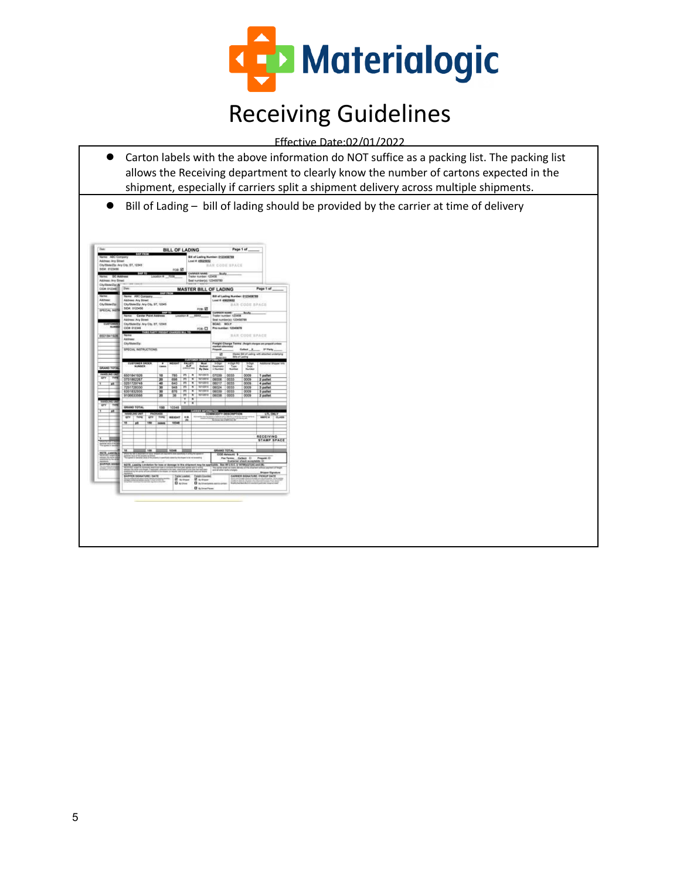

Effective Date:02/01/2022

- Carton labels with the above information do NOT suffice as a packing list. The packing list allows the Receiving department to clearly know the number of cartons expected in the shipment, especially if carriers split a shipment delivery across multiple shipments.
- Bill of Lading bill of lading should be provided by the carrier at time of delivery

| ne: ABC Consany<br>Address: Any Goset<br>Chythate/Zip: Any City, ST, 12345<br><b>NEW OTZNAK</b> |                   | <b>STORY OF</b><br>100210                                                                                                                                       |                                  |                       | FOR ET                                                                                                                        |                                                             |                      | Louis #: 45025652<br>CARNER RANE                                | <b>Bill of Lading Number: 0123456709</b>                                                         | <b>BAN CODE SPACE</b>                                                                                                                       |                                    |                                                                              |  |
|-------------------------------------------------------------------------------------------------|-------------------|-----------------------------------------------------------------------------------------------------------------------------------------------------------------|----------------------------------|-----------------------|-------------------------------------------------------------------------------------------------------------------------------|-------------------------------------------------------------|----------------------|-----------------------------------------------------------------|--------------------------------------------------------------------------------------------------|---------------------------------------------------------------------------------------------------------------------------------------------|------------------------------------|------------------------------------------------------------------------------|--|
| Address: Any Street                                                                             | <b>DC Address</b> |                                                                                                                                                                 |                                  | consting #            | <b>Marine</b>                                                                                                                 |                                                             |                      | Trailer number: 125456<br>Seal number(s): 123455789             | <b>Booty</b>                                                                                     |                                                                                                                                             |                                    |                                                                              |  |
| <b>Civ/Stuar/Ziel/A</b><br><b>CION 0123481</b>                                                  | <b>Date</b>       | $-10011$<br><b>MASTER BILL OF LADING</b>                                                                                                                        |                                  |                       |                                                                                                                               |                                                             |                      |                                                                 |                                                                                                  |                                                                                                                                             |                                    | Page 1 of                                                                    |  |
| Abbiene:<br>Ch/State/Zip<br><b>SPECIAL NSTR</b>                                                 |                   | 1031233<br>News ABC Company<br>Address Any Street<br>City/State/Zip: Any City, ST, 12345<br>SIDR: 0123456<br>FOR \$1<br>State vol<br>Name: Canter Point Address |                                  |                       |                                                                                                                               |                                                             |                      |                                                                 |                                                                                                  | <b>BB at Lading Number: 0123458789</b><br>Load # 49625652<br>BAN-COSE SPACE                                                                 |                                    |                                                                              |  |
| <b>CURTOWER</b><br><b>NUMBER</b>                                                                |                   | & 606800.<br>1033<br>Address: Any Street<br>DisrBiele/Zip: Any City, ST, 12348<br><b>CIDR 012346</b><br>ros-D<br>THIRD PARTY FIRESHT CHARGES BILL TO:           |                                  |                       |                                                                                                                               |                                                             |                      |                                                                 | Trailer number: 123458<br>Seal number(s) 123450789<br><b>NCAC: NCLY</b><br>Pro reanded: 12343678 |                                                                                                                                             |                                    |                                                                              |  |
| 6501841928                                                                                      |                   | <b>MANGE</b><br>Address:<br>Division/De<br><b>SPECIAL INSTRUCTIONS:</b>                                                                                         |                                  |                       |                                                                                                                               |                                                             |                      |                                                                 | marked otherwise/<br>Prepaid                                                                     |                                                                                                                                             | <b>HAR CODE SPACE</b><br>Collect X | Preight Charge Tenns: (helphiskages are pressidentes)<br>2 <sup>4</sup> Park |  |
|                                                                                                 |                   |                                                                                                                                                                 |                                  |                       |                                                                                                                               |                                                             |                      |                                                                 | w                                                                                                |                                                                                                                                             | <b>Bile of Lading</b>              | Master SHI st'Lading with attached underlying                                |  |
| GRAND TOTAL                                                                                     |                   | <b>CUSTOMER ORDER</b><br>NUMBER                                                                                                                                 |                                  | Ŧ<br>čansk            | <b>ATH</b>                                                                                                                    | <b>BUILD</b><br>$0.005$ (max                                | 811.67<br><b>SUP</b> | Must<br><b>Belletr</b><br>By Date                               | <b>ANGER</b><br>$5$ Oldit<br><b>Gentinatio</b><br>n Number                                       | <b>Type:</b><br><b>Number</b>                                                                                                               | 50w<br>248<br><b>Number</b>        | Astronal Shipper 9                                                           |  |
| <b>ES IX</b><br>arv<br>TYPE                                                                     |                   | 6501841926<br>0751862267<br>0251723746                                                                                                                          |                                  | 10<br>36<br>40        | 786<br>756<br>645                                                                                                             | m<br>w<br>ल                                                 | w<br>Ħ<br>w          | 1610011<br><b>WYSSELF</b><br><b>WAYNT</b>                       | 07036<br>09356<br>05017                                                                          | 6633<br>6533<br>0033                                                                                                                        | 0009<br>0009<br>0009               | 1 patiet<br>2 patet                                                          |  |
| Ŧ<br><b>I</b>                                                                                   |                   | 7251728330<br>6351832935<br>9106633566                                                                                                                          |                                  | ज<br>ऊ<br>36          | 0.48<br>876<br>弼                                                                                                              | m<br>ल<br>W                                                 | ×<br>w<br>×          | 497-2014<br><b>WOOD</b><br>काळाव                                | 09224<br>09536<br>09236                                                                          | <b>GESS</b><br>0033<br>6665                                                                                                                 | mm<br>0009<br>0009                 | 4 pallet<br>3 patet<br>3 patet<br>2 patet                                    |  |
| <b>EAREN FOO UR</b><br>av<br>TVIN                                                               |                   | GRAND TOTAL                                                                                                                                                     |                                  | 150                   | 10348                                                                                                                         | v                                                           | ×<br>w               |                                                                 |                                                                                                  |                                                                                                                                             |                                    |                                                                              |  |
| ٦<br>u                                                                                          |                   | MADLING UM                                                                                                                                                      |                                  | <b>PACKAGE</b>        |                                                                                                                               |                                                             |                      | CARBIN INFORMATION                                              |                                                                                                  |                                                                                                                                             |                                    |                                                                              |  |
|                                                                                                 | $q_{TT}$<br>छ     | <b>TYRK</b><br><b>IR</b>                                                                                                                                        | <b>GTT</b><br>188                | <b>TYME</b><br>cases. | WEIGHT<br><b>VOCAL</b>                                                                                                        | <b>ALM</b><br>œ                                             |                      |                                                                 |                                                                                                  | COMMODITY DESCRIPTION                                                                                                                       |                                    | LTL CNL<br>C1.8.08<br><b>MAFC #</b>                                          |  |
| ٦                                                                                               |                   |                                                                                                                                                                 |                                  |                       |                                                                                                                               |                                                             |                      |                                                                 |                                                                                                  |                                                                                                                                             |                                    | RECEIVING<br><b>STAMP SPACE</b>                                              |  |
| <b>NOTE Linking &amp;</b><br><b>BAUFFER 350RAY</b>                                              | u                 | guiern von d'Inte                                                                                                                                               | 180                              |                       | 10348<br><b>Ratio detects the drawn hole rate</b><br>NOTE Liability Limitetian for loss or domage to this shipment may be app |                                                             |                      |                                                                 | GRAND TOTAL                                                                                      | <b>CCO Amount \$</b><br>For Tennis, Collect D. Propole D.<br>Contamine check acceptable: D.<br>ids. See 49 U.S.C. § 147980-0700A) and (\$). |                                    |                                                                              |  |
| also cantant at                                                                                 |                   | <b>In Art-O'Near</b><br><b>GAINFIR GONATURE / DATE</b>                                                                                                          | the carrier only are accounts to |                       |                                                                                                                               | The lier Lowdon's<br><b>ET</b> by Mosaic<br><b>Division</b> |                      | o for test per-<br><b>Ferrario Counted</b><br><b>ST</b> systems | <b>D</b> Systems arranges                                                                        | The same graphic make a                                                                                                                     |                                    | us Elenskon<br>CARRIER GIOVATURE / PICKUP DATE                               |  |
|                                                                                                 |                   |                                                                                                                                                                 |                                  |                       |                                                                                                                               |                                                             |                      | <b>Distantant</b>                                               |                                                                                                  |                                                                                                                                             |                                    |                                                                              |  |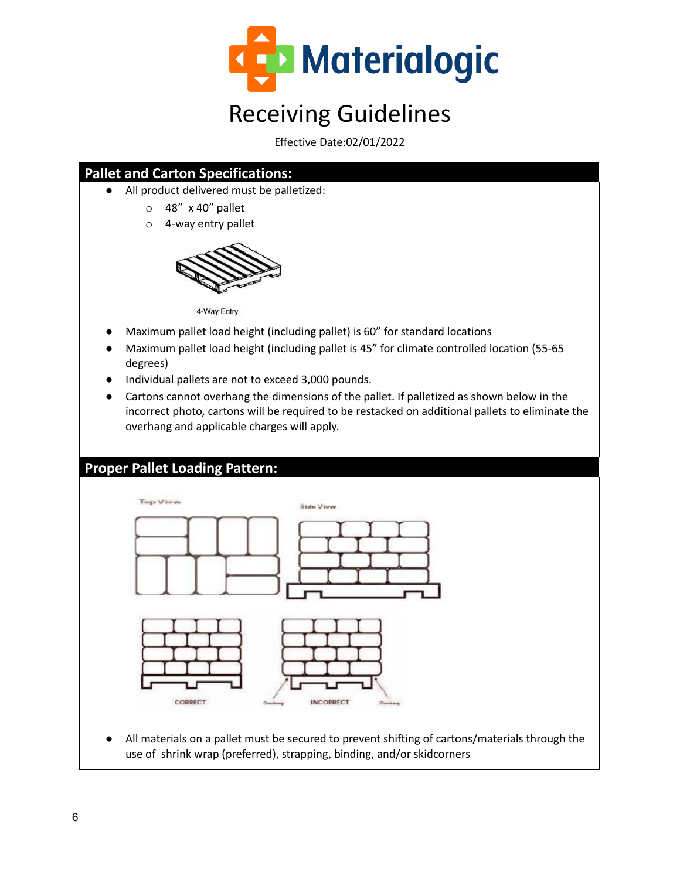

Effective Date:02/01/2022

### **Pallet and Carton Specifications:**

- All product delivered must be palletized:
	- $\circ$  48" x 40" pallet
	- o 4-way entry pallet



4-Way Entry

- Maximum pallet load height (including pallet) is 60" for standard locations
- Maximum pallet load height (including pallet is 45" for climate controlled location (55-65 degrees)
- Individual pallets are not to exceed 3,000 pounds.
- Cartons cannot overhang the dimensions of the pallet. If palletized as shown below in the incorrect photo, cartons will be required to be restacked on additional pallets to eliminate the overhang and applicable charges will apply.

#### **Proper Pallet Loading Pattern:**



All materials on a pallet must be secured to prevent shifting of cartons/materials through the use of shrink wrap (preferred), strapping, binding, and/or skidcorners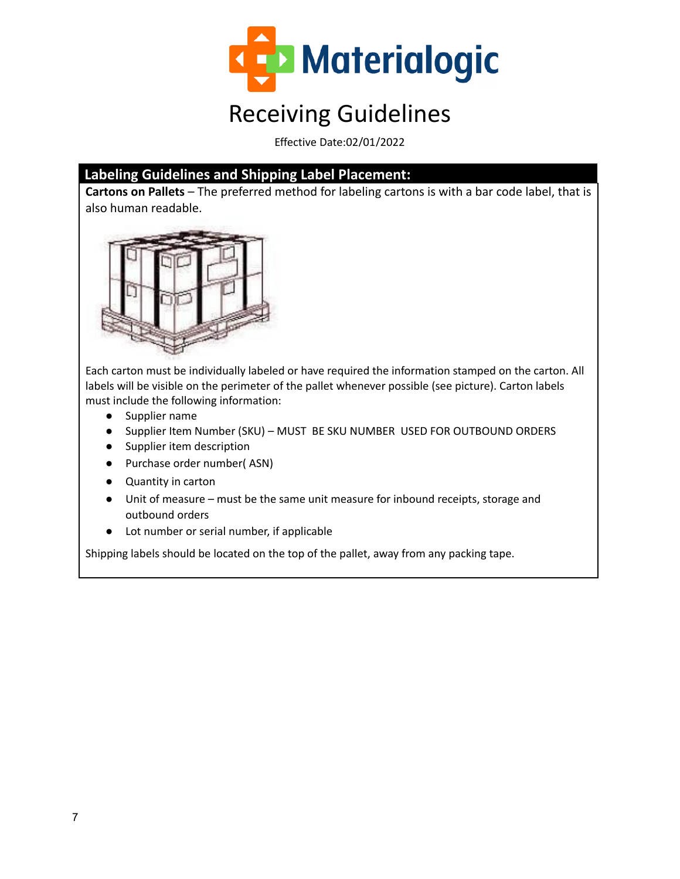

Effective Date:02/01/2022

#### **Labeling Guidelines and Shipping Label Placement:**

**Cartons on Pallets** – The preferred method for labeling cartons is with a bar code label, that is also human readable.



Each carton must be individually labeled or have required the information stamped on the carton. All labels will be visible on the perimeter of the pallet whenever possible (see picture). Carton labels must include the following information:

- Supplier name
- Supplier Item Number (SKU) MUST BE SKU NUMBER USED FOR OUTBOUND ORDERS
- Supplier item description
- Purchase order number( ASN)
- Quantity in carton
- Unit of measure must be the same unit measure for inbound receipts, storage and outbound orders
- Lot number or serial number, if applicable

Shipping labels should be located on the top of the pallet, away from any packing tape.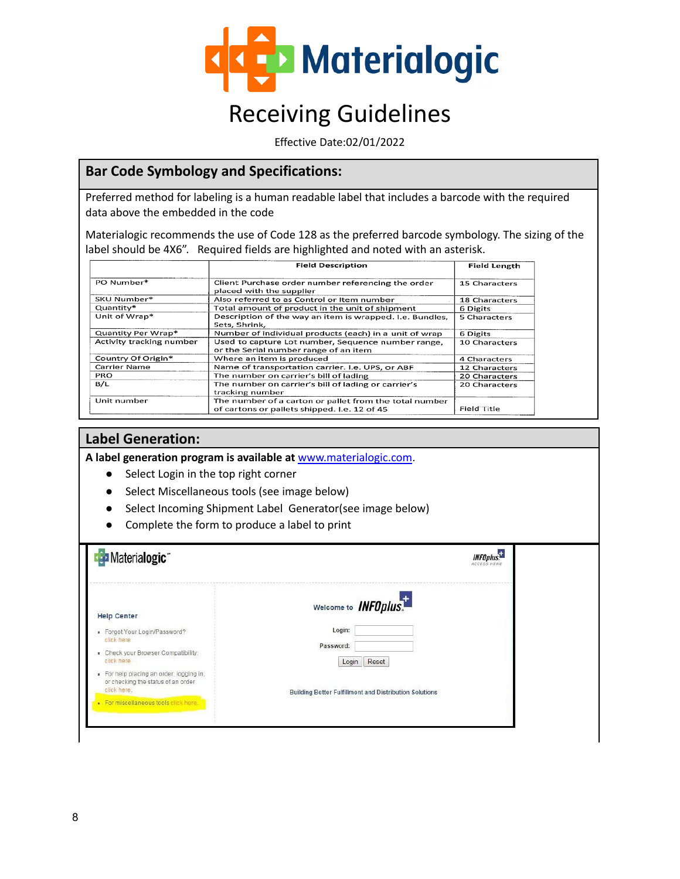

Effective Date:02/01/2022

#### **Bar Code Symbology and Specifications:**

Preferred method for labeling is a human readable label that includes a barcode with the required data above the embedded in the code

Materialogic recommends the use of Code 128 as the preferred barcode symbology. The sizing of the label should be 4X6". Required fields are highlighted and noted with an asterisk.

|                          | <b>Field Description</b>                                                                               | <b>Field Length</b> |
|--------------------------|--------------------------------------------------------------------------------------------------------|---------------------|
| PO Number*               | Client Purchase order number referencing the order<br>placed with the supplier                         | 15 Characters       |
| SKU Number*              | Also referred to as Control or Item number                                                             | 18 Characters       |
| Quantity*                | Total amount of product in the unit of shipment                                                        | 6 Digits            |
| Unit of Wrap*            | Description of the way an item is wrapped. I.e. Bundles,<br>Sets, Shrink,                              | <b>5 Characters</b> |
| Quantity Per Wrap*       | Number of individual products (each) in a unit of wrap                                                 | 6 Digits            |
| Activity tracking number | Used to capture Lot number, Sequence number range.<br>or the Serial number range of an item            | 10 Characters       |
| Country Of Origin*       | Where an item is produced                                                                              | 4 Characters        |
| Carrier Name             | Name of transportation carrier. I.e. UPS, or ABF                                                       | 12 Characters       |
| <b>PRO</b>               | The number on carrier's bill of lading                                                                 | 20 Characters       |
| B/L                      | The number on carrier's bill of lading or carrier's<br>tracking number                                 | 20 Characters       |
| Unit number              | The number of a carton or pallet from the total number<br>of cartons or pallets shipped. I.e. 12 of 45 | Field Title         |

#### **Label Generation:**

**A label generation program is available at** [www.materialogic.com.](http://www.materialogic.com/)

- Select Login in the top right corner
- Select Miscellaneous tools (see image below)
- Select Incoming Shipment Label Generator(see image below)
- Complete the form to produce a label to print

| Materialogic <sup>-</sup>                                                                                                          | <b>INFOplus</b> .<br><b>ACCESS HERI</b>                       |
|------------------------------------------------------------------------------------------------------------------------------------|---------------------------------------------------------------|
| <b>Help Center</b>                                                                                                                 | Welcome to <b>INFOplus.</b>                                   |
| · Forgot Your Login/Password?<br>click here<br>- Check your Browser Compatibility:<br>click here                                   | Login:<br>Password:<br>Login<br>Reset                         |
| For help placing an order, logging in,<br>or checking the status of an order<br>click here.<br>For miscellaneous tools click here. | <b>Building Better Fulfillment and Distribution Solutions</b> |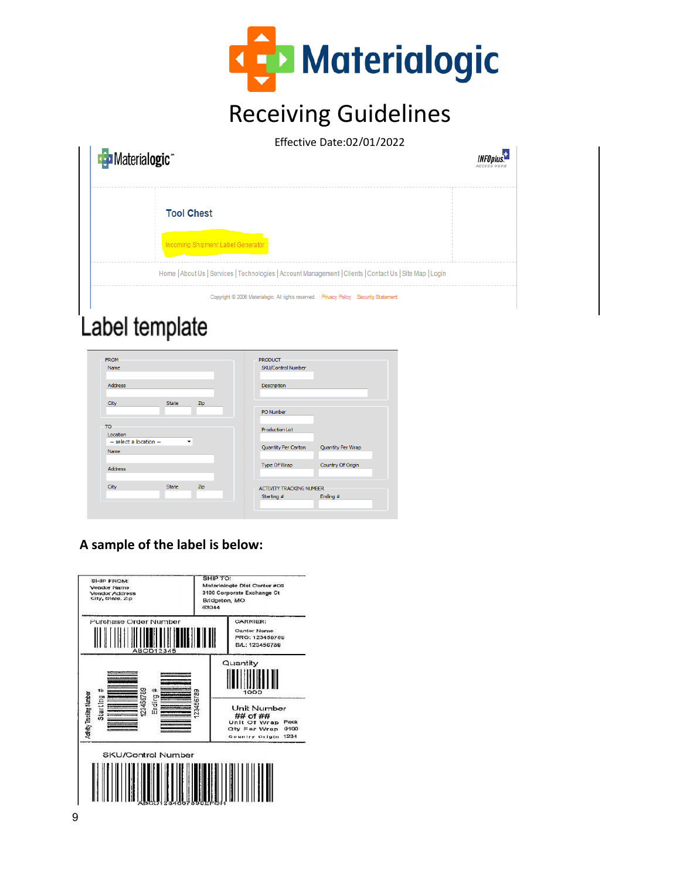

| Materialogic <sup>®</sup> | Effective Date:02/01/2022<br>INFOplus                                                                    |
|---------------------------|----------------------------------------------------------------------------------------------------------|
| <b>Tool Chest</b>         |                                                                                                          |
|                           | <b>Incoming Shipment Label Generator</b>                                                                 |
|                           | Home   About Us   Services   Technologies   Account Management   Clients   Contact Us   Site Map   Login |
|                           | Copyright © 2008 Materialogic. All rights reserved.  Privacy Policy Security Statement                   |

# Label template

| <b>FROM</b>                                |              |                          | <b>PRODUCT</b>                  |                   |
|--------------------------------------------|--------------|--------------------------|---------------------------------|-------------------|
| Name                                       |              |                          | SKU/Control Number              |                   |
| <b>Address</b>                             |              |                          | <b>Description</b>              |                   |
| City                                       | <b>State</b> | Zip                      |                                 |                   |
|                                            |              |                          | PO Number                       |                   |
| TO.<br>Location<br>-- select a location -- |              | $\overline{\phantom{a}}$ | <b>Production Lot</b>           |                   |
| Name                                       |              |                          | Quantity Per Carton             | Quantity Per Wrap |
| <b>Address</b>                             |              |                          | Type Of Wrap                    | Country Of Origin |
| City                                       | <b>State</b> | Zip                      | <b>ACTIVITY TRACKING NUMBER</b> |                   |
|                                            |              |                          | Starting #                      | Ending #          |

### **A sample of the label is below:**

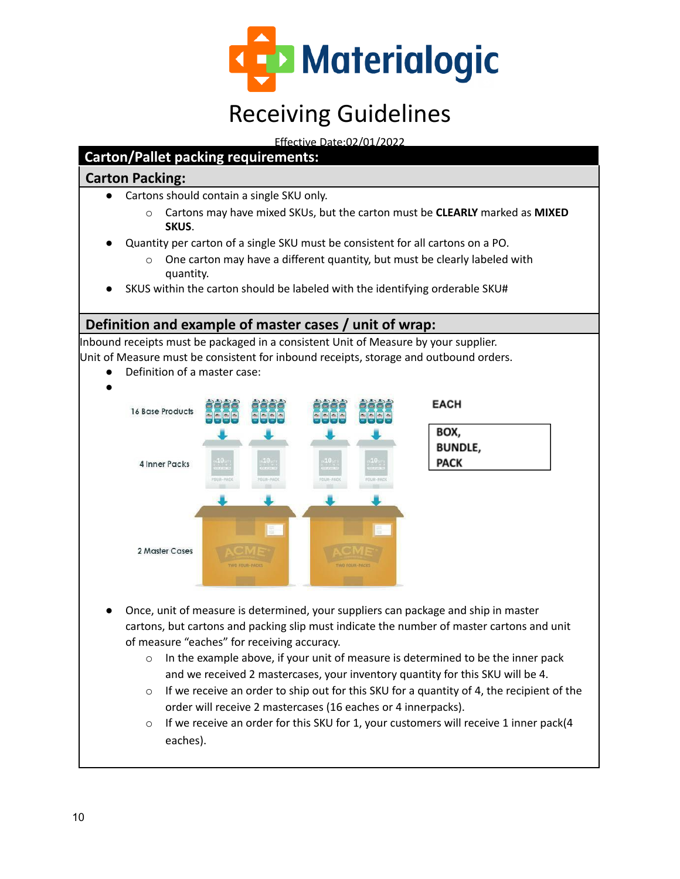

Effective Date:02/01/2022

### **Carton/Pallet packing requirements:**

#### **Carton Packing:**

- Cartons should contain a single SKU only.
	- o Cartons may have mixed SKUs, but the carton must be **CLEARLY** marked as **MIXED SKUS**.
- Quantity per carton of a single SKU must be consistent for all cartons on a PO.
	- o One carton may have a different quantity, but must be clearly labeled with quantity.
- SKUS within the carton should be labeled with the identifying orderable SKU#

#### **Definition and example of master cases / unit of wrap:**

Inbound receipts must be packaged in a consistent Unit of Measure by your supplier. Unit of Measure must be consistent for inbound receipts, storage and outbound orders.





- Once, unit of measure is determined, your suppliers can package and ship in master cartons, but cartons and packing slip must indicate the number of master cartons and unit of measure "eaches" for receiving accuracy.
	- $\circ$  In the example above, if your unit of measure is determined to be the inner pack and we received 2 mastercases, your inventory quantity for this SKU will be 4.
	- $\circ$  If we receive an order to ship out for this SKU for a quantity of 4, the recipient of the order will receive 2 mastercases (16 eaches or 4 innerpacks).
	- $\circ$  If we receive an order for this SKU for 1, your customers will receive 1 inner pack(4 eaches).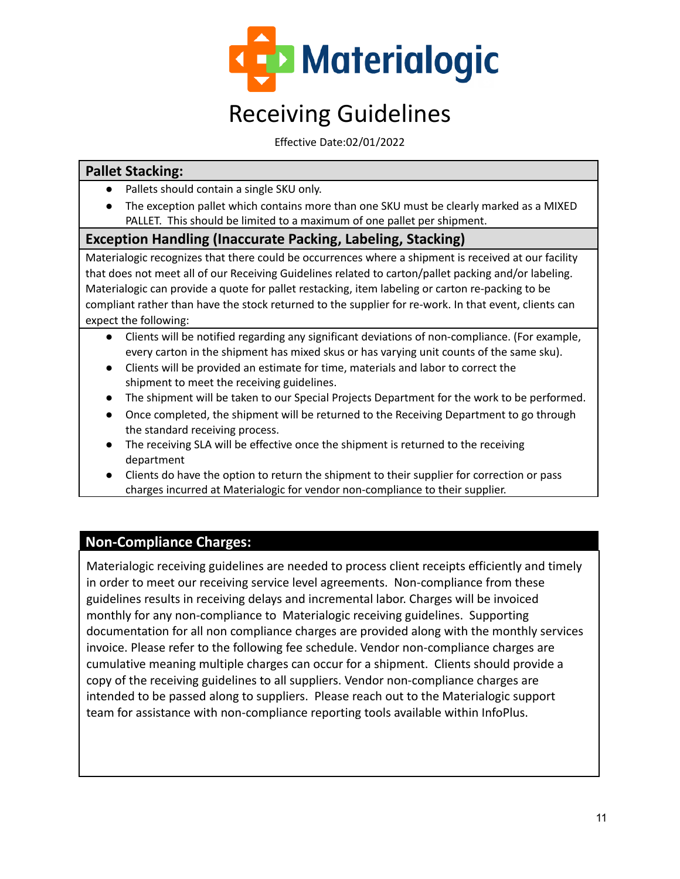

Effective Date:02/01/2022

#### **Pallet Stacking:**

- Pallets should contain a single SKU only.
- The exception pallet which contains more than one SKU must be clearly marked as a MIXED PALLET. This should be limited to a maximum of one pallet per shipment.

#### **Exception Handling (Inaccurate Packing, Labeling, Stacking)**

Materialogic recognizes that there could be occurrences where a shipment is received at our facility that does not meet all of our Receiving Guidelines related to carton/pallet packing and/or labeling. Materialogic can provide a quote for pallet restacking, item labeling or carton re-packing to be compliant rather than have the stock returned to the supplier for re-work. In that event, clients can expect the following:

- Clients will be notified regarding any significant deviations of non-compliance. (For example, every carton in the shipment has mixed skus or has varying unit counts of the same sku).
- Clients will be provided an estimate for time, materials and labor to correct the shipment to meet the receiving guidelines.
- The shipment will be taken to our Special Projects Department for the work to be performed.
- Once completed, the shipment will be returned to the Receiving Department to go through the standard receiving process.
- The receiving SLA will be effective once the shipment is returned to the receiving department
- Clients do have the option to return the shipment to their supplier for correction or pass charges incurred at Materialogic for vendor non-compliance to their supplier.

### **Non-Compliance Charges:**

Materialogic receiving guidelines are needed to process client receipts efficiently and timely in order to meet our receiving service level agreements. Non-compliance from these guidelines results in receiving delays and incremental labor. Charges will be invoiced monthly for any non-compliance to Materialogic receiving guidelines. Supporting documentation for all non compliance charges are provided along with the monthly services invoice. Please refer to the following fee schedule. Vendor non-compliance charges are cumulative meaning multiple charges can occur for a shipment. Clients should provide a copy of the receiving guidelines to all suppliers. Vendor non-compliance charges are intended to be passed along to suppliers. Please reach out to the Materialogic support team for assistance with non-compliance reporting tools available within InfoPlus.